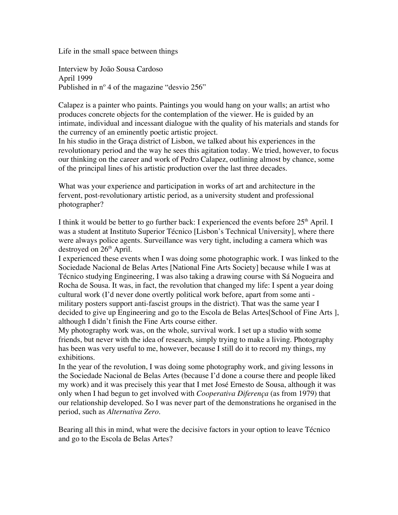Life in the small space between things

Interview by João Sousa Cardoso April 1999 Published in nº 4 of the magazine "desvio 256"

Calapez is a painter who paints. Paintings you would hang on your walls; an artist who produces concrete objects for the contemplation of the viewer. He is guided by an intimate, individual and incessant dialogue with the quality of his materials and stands for the currency of an eminently poetic artistic project.

In his studio in the Graça district of Lisbon, we talked about his experiences in the revolutionary period and the way he sees this agitation today. We tried, however, to focus our thinking on the career and work of Pedro Calapez, outlining almost by chance, some of the principal lines of his artistic production over the last three decades.

What was your experience and participation in works of art and architecture in the fervent, post-revolutionary artistic period, as a university student and professional photographer?

I think it would be better to go further back: I experienced the events before  $25<sup>th</sup>$  April. I was a student at Instituto Superior Técnico [Lisbon's Technical University], where there were always police agents. Surveillance was very tight, including a camera which was destroyed on  $26<sup>th</sup>$  April.

I experienced these events when I was doing some photographic work. I was linked to the Sociedade Nacional de Belas Artes [National Fine Arts Society] because while I was at Técnico studying Engineering, I was also taking a drawing course with Sá Nogueira and Rocha de Sousa. It was, in fact, the revolution that changed my life: I spent a year doing cultural work (I'd never done overtly political work before, apart from some anti military posters support anti-fascist groups in the district). That was the same year I decided to give up Engineering and go to the Escola de Belas Artes[School of Fine Arts ], although I didn't finish the Fine Arts course either.

My photography work was, on the whole, survival work. I set up a studio with some friends, but never with the idea of research, simply trying to make a living. Photography has been was very useful to me, however, because I still do it to record my things, my exhibitions.

In the year of the revolution, I was doing some photography work, and giving lessons in the Sociedade Nacional de Belas Artes (because I'd done a course there and people liked my work) and it was precisely this year that I met José Ernesto de Sousa, although it was only when I had begun to get involved with *Cooperativa Diferença* (as from 1979) that our relationship developed. So I was never part of the demonstrations he organised in the period, such as *Alternativa Zero*.

Bearing all this in mind, what were the decisive factors in your option to leave Técnico and go to the Escola de Belas Artes?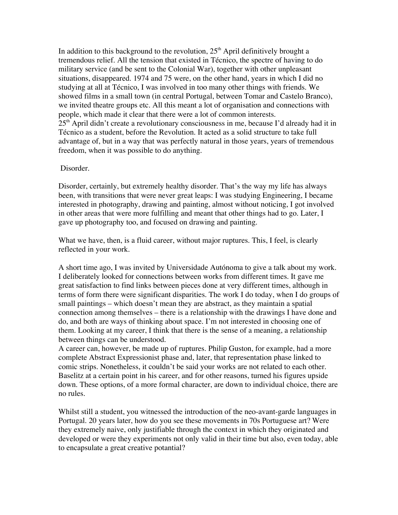In addition to this background to the revolution,  $25<sup>th</sup>$  April definitively brought a tremendous relief. All the tension that existed in Técnico, the spectre of having to do military service (and be sent to the Colonial War), together with other unpleasant situations, disappeared. 1974 and 75 were, on the other hand, years in which I did no studying at all at Técnico, I was involved in too many other things with friends. We showed films in a small town (in central Portugal, between Tomar and Castelo Branco), we invited theatre groups etc. All this meant a lot of organisation and connections with people, which made it clear that there were a lot of common interests.  $25<sup>th</sup>$  April didn't create a revolutionary consciousness in me, because I'd already had it in Técnico as a student, before the Revolution. It acted as a solid structure to take full advantage of, but in a way that was perfectly natural in those years, years of tremendous freedom, when it was possible to do anything.

## Disorder.

Disorder, certainly, but extremely healthy disorder. That's the way my life has always been, with transitions that were never great leaps: I was studying Engineering, I became interested in photography, drawing and painting, almost without noticing, I got involved in other areas that were more fulfilling and meant that other things had to go. Later, I gave up photography too, and focused on drawing and painting.

What we have, then, is a fluid career, without major ruptures. This, I feel, is clearly reflected in your work.

A short time ago, I was invited by Universidade Autónoma to give a talk about my work. I deliberately looked for connections between works from different times. It gave me great satisfaction to find links between pieces done at very different times, although in terms of form there were significant disparities. The work I do today, when I do groups of small paintings – which doesn't mean they are abstract, as they maintain a spatial connection among themselves – there is a relationship with the drawings I have done and do, and both are ways of thinking about space. I'm not interested in choosing one of them. Looking at my career, I think that there is the sense of a meaning, a relationship between things can be understood.

A career can, however, be made up of ruptures. Philip Guston, for example, had a more complete Abstract Expressionist phase and, later, that representation phase linked to comic strips. Nonetheless, it couldn't be said your works are not related to each other. Baselitz at a certain point in his career, and for other reasons, turned his figures upside down. These options, of a more formal character, are down to individual choice, there are no rules.

Whilst still a student, you witnessed the introduction of the neo-avant-garde languages in Portugal. 20 years later, how do you see these movements in 70s Portuguese art? Were they extremely naive, only justifiable through the context in which they originated and developed or were they experiments not only valid in their time but also, even today, able to encapsulate a great creative potantial?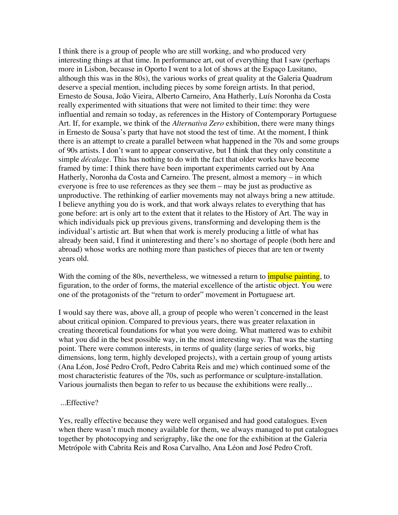I think there is a group of people who are still working, and who produced very interesting things at that time. In performance art, out of everything that I saw (perhaps more in Lisbon, because in Oporto I went to a lot of shows at the Espaço Lusitano, although this was in the 80s), the various works of great quality at the Galeria Quadrum deserve a special mention, including pieces by some foreign artists. In that period, Ernesto de Sousa, João Vieira, Alberto Carneiro, Ana Hatherly, Luís Noronha da Costa really experimented with situations that were not limited to their time: they were influential and remain so today, as references in the History of Contemporary Portuguese Art. If, for example, we think of the *Alternativa Zero* exhibition, there were many things in Ernesto de Sousa's party that have not stood the test of time. At the moment, I think there is an attempt to create a parallel between what happened in the 70s and some groups of 90s artists. I don't want to appear conservative, but I think that they only constitute a simple *décalage*. This has nothing to do with the fact that older works have become framed by time: I think there have been important experiments carried out by Ana Hatherly, Noronha da Costa and Carneiro. The present, almost a memory – in which everyone is free to use references as they see them – may be just as productive as unproductive. The rethinking of earlier movements may not always bring a new attitude. I believe anything you do is work, and that work always relates to everything that has gone before: art is only art to the extent that it relates to the History of Art. The way in which individuals pick up previous givens, transforming and developing them is the individual's artistic art. But when that work is merely producing a little of what has already been said, I find it uninteresting and there's no shortage of people (both here and abroad) whose works are nothing more than pastiches of pieces that are ten or twenty years old.

With the coming of the 80s, nevertheless, we witnessed a return to *impulse painting*, to figuration, to the order of forms, the material excellence of the artistic object. You were one of the protagonists of the "return to order" movement in Portuguese art.

I would say there was, above all, a group of people who weren't concerned in the least about critical opinion. Compared to previous years, there was greater relaxation in creating theoretical foundations for what you were doing. What mattered was to exhibit what you did in the best possible way, in the most interesting way. That was the starting point. There were common interests, in terms of quality (large series of works, big dimensions, long term, highly developed projects), with a certain group of young artists (Ana Léon, José Pedro Croft, Pedro Cabrita Reis and me) which continued some of the most characteristic features of the 70s, such as performance or sculpture-installation. Various journalists then began to refer to us because the exhibitions were really...

## ...Effective?

Yes, really effective because they were well organised and had good catalogues. Even when there wasn't much money available for them, we always managed to put catalogues together by photocopying and serigraphy, like the one for the exhibition at the Galeria Metrópole with Cabrita Reis and Rosa Carvalho, Ana Léon and José Pedro Croft.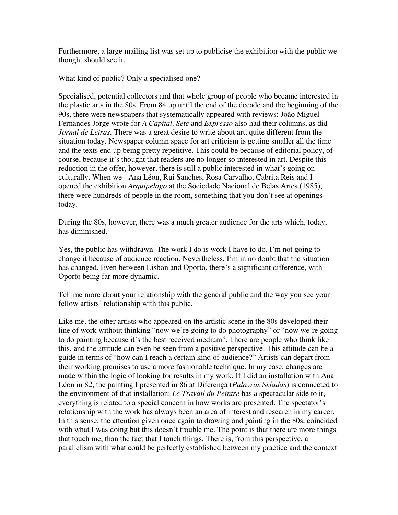Furthermore, a large mailing list was set up to publicise the exhibition with the public we thought should see it.

What kind of public? Only a specialised one?

Specialised, potential collectors and that whole group of people who became interested in the plastic arts in the 80s. From 84 up until the end of the decade and the beginning of the 90s, there were newspapers that systematically appeared with reviews: João Miguel Fernandes Jorge wrote for *A Capital*. *Sete* and *Expresso* also had their columns, as did *Jornal de Letras*. There was a great desire to write about art, quite different from the situation today. Newspaper column space for art criticism is getting smaller all the time and the texts end up being pretty repetitive. This could be because of editorial policy, of course, because it's thought that readers are no longer so interested in art. Despite this reduction in the offer, however, there is still a public interested in what's going on culturally. When we - Ana Léon, Rui Sanches, Rosa Carvalho, Cabrita Reis and I – opened the exhibition *Arquipélago* at the Sociedade Nacional de Belas Artes (1985), there were hundreds of people in the room, something that you don't see at openings today.

During the 80s, however, there was a much greater audience for the arts which, today, has diminished.

Yes, the public has withdrawn. The work I do is work I have to do. I'm not going to change it because of audience reaction. Nevertheless, I'm in no doubt that the situation has changed. Even between Lisbon and Oporto, there's a significant difference, with Oporto being far more dynamic.

Tell me more about your relationship with the general public and the way you see your fellow artists' relationship with this public.

Like me, the other artists who appeared on the artistic scene in the 80s developed their line of work without thinking "now we're going to do photography" or "now we're going to do painting because it's the best received medium". There are people who think like this, and the attitude can even be seen from a positive perspective. This attitude can be a guide in terms of "how can I reach a certain kind of audience?" Artists can depart from their working premises to use a more fashionable technique. In my case, changes are made within the logic of looking for results in my work. If I did an installation with Ana Léon in 82, the painting I presented in 86 at Diferença (*Palavras Seladas*) is connected to the environment of that installation: *Le Travail du Peintre* has a spectacular side to it, everything is related to a special concern in how works are presented. The spectator's relationship with the work has always been an area of interest and research in my career. In this sense, the attention given once again to drawing and painting in the 80s, coincided with what I was doing but this doesn't trouble me. The point is that there are more things that touch me, than the fact that I touch things. There is, from this perspective, a parallelism with what could be perfectly established between my practice and the context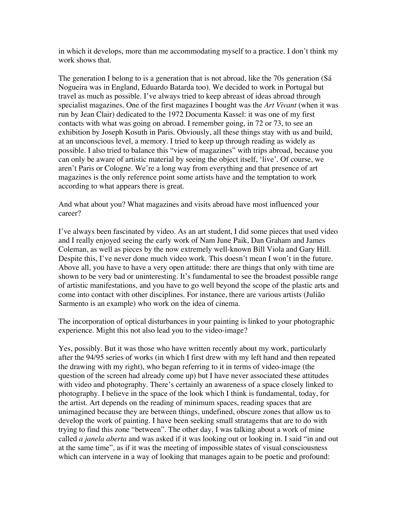in which it develops, more than me accommodating myself to a practice. I don't think my work shows that.

The generation I belong to is a generation that is not abroad, like the 70s generation (Sá Nogueira was in England, Eduardo Batarda too). We decided to work in Portugal but travel as much as possible. I've always tried to keep abreast of ideas abroad through specialist magazines. One of the first magazines I bought was the *Art Vivant* (when it was run by Jean Clair) dedicated to the 1972 Documenta Kassel: it was one of my first contacts with what was going on abroad. I remember going, in 72 or 73, to see an exhibition by Joseph Kosuth in Paris. Obviously, all these things stay with us and build, at an unconscious level, a memory. I tried to keep up through reading as widely as possible. I also tried to balance this "view of magazines" with trips abroad, because you can only be aware of artistic material by seeing the object itself, 'live'. Of course, we aren't Paris or Cologne. We're a long way from everything and that presence of art magazines is the only reference point some artists have and the temptation to work according to what appears there is great.

And what about you? What magazines and visits abroad have most influenced your career?

I've always been fascinated by video. As an art student, I did some pieces that used video and I really enjoyed seeing the early work of Nam June Paik, Dan Graham and James Coleman, as well as pieces by the now extremely well-known Bill Viola and Gary Hill. Despite this, I've never done much video work. This doesn't mean I won't in the future. Above all, you have to have a very open attitude: there are things that only with time are shown to be very bad or uninteresting. It's fundamental to see the broadest possible range of artistic manifestations, and you have to go well beyond the scope of the plastic arts and come into contact with other disciplines. For instance, there are various artists (Julião Sarmento is an example) who work on the idea of cinema.

The incorporation of optical disturbances in your painting is linked to your photographic experience. Might this not also lead you to the video-image?

Yes, possibly. But it was those who have written recently about my work, particularly after the 94/95 series of works (in which I first drew with my left hand and then repeated the drawing with my right), who began referring to it in terms of video-image (the question of the screen had already come up) but I have never associated these attitudes with video and photography. There's certainly an awareness of a space closely linked to photography. I believe in the space of the look which I think is fundamental, today, for the artist. Art depends on the reading of minimum spaces, reading spaces that are unimagined because they are between things, undefined, obscure zones that allow us to develop the work of painting. I have been seeking small stratagems that are to do with trying to find this zone "between". The other day, I was talking about a work of mine called *a janela aberta* and was asked if it was looking out or looking in. I said "in and out at the same time", as if it was the meeting of impossible states of visual consciousness which can intervene in a way of looking that manages again to be poetic and profound: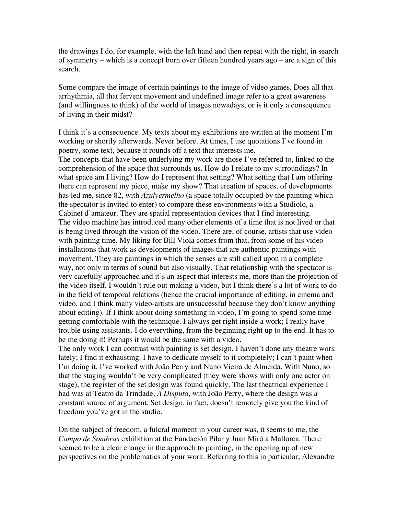the drawings I do, for example, with the left hand and then repeat with the right, in search of symmetry – which is a concept born over fifteen hundred years ago – are a sign of this search.

Some compare the image of certain paintings to the image of video games. Does all that arrhythmia, all that fervent movement and undefined image refer to a great awareness (and willingness to think) of the world of images nowadays, or is it only a consequence of living in their midst?

I think it's a consequence. My texts about my exhibitions are written at the moment I'm working or shortly afterwards. Never before. At times, I use quotations I've found in poetry, some text, because it rounds off a text that interests me.

The concepts that have been underlying my work are those I've referred to, linked to the comprehension of the space that surrounds us. How do I relate to my surroundings? In what space am I living? How do I represent that setting? What setting that I am offering there can represent my piece, make my show? That creation of spaces, of developments has led me, since 82, with *Azulvermelho* (a space totally occupied by the painting which the spectator is invited to enter) to compare these environments with a Studiolo, a Cabinet d'amateur. They are spatial representation devices that I find interesting. The video machine has introduced many other elements of a time that is not lived or that is being lived through the vision of the video. There are, of course, artists that use video with painting time. My liking for Bill Viola comes from that, from some of his videoinstallations that work as developments of images that are authentic paintings with movement. They are paintings in which the senses are still called upon in a complete way, not only in terms of sound but also visually. That relationship with the spectator is very carefully approached and it's an aspect that interests me, more than the projection of the video itself. I wouldn't rule out making a video, but I think there's a lot of work to do in the field of temporal relations (hence the crucial importance of editing, in cinema and video, and I think many video-artists are unsuccessful because they don't know anything about editing). If I think about doing something in video, I'm going to spend some time getting comfortable with the technique. I always get right inside a work; I really have trouble using assistants. I do everything, from the beginning right up to the end. It has to be me doing it! Perhaps it would be the same with a video.

The only work I can contrast with painting is set design. I haven't done any theatre work lately; I find it exhausting. I have to dedicate myself to it completely; I can't paint when I'm doing it. I've worked with João Perry and Nuno Vieira de Almeida. With Nuno, so that the staging wouldn't be very complicated (they were shows with only one actor on stage), the register of the set design was found quickly. The last theatrical experience I had was at Teatro da Trindade, *A Disputa*, with João Perry, where the design was a constant source of argument. Set design, in fact, doesn't remotely give you the kind of freedom you've got in the studio.

On the subject of freedom, a fulcral moment in your career was, it seems to me, the *Campo de Sombras* exhibition at the Fundación Pilar y Juan Miró a Mallorca. There seemed to be a clear change in the approach to painting, in the opening up of new perspectives on the problematics of your work. Referring to this in particular, Alexandre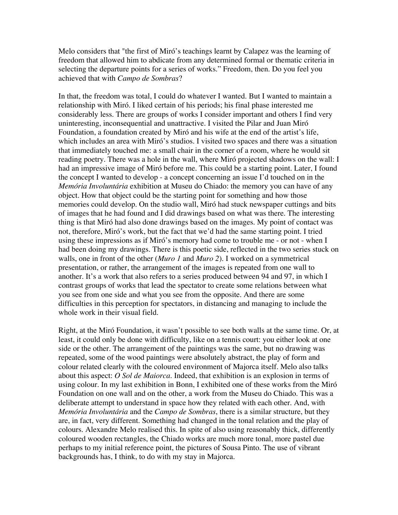Melo considers that "the first of Miró's teachings learnt by Calapez was the learning of freedom that allowed him to abdicate from any determined formal or thematic criteria in selecting the departure points for a series of works." Freedom, then. Do you feel you achieved that with *Campo de Sombras*?

In that, the freedom was total, I could do whatever I wanted. But I wanted to maintain a relationship with Miró. I liked certain of his periods; his final phase interested me considerably less. There are groups of works I consider important and others I find very uninteresting, inconsequential and unattractive. I visited the Pilar and Juan Miró Foundation, a foundation created by Miró and his wife at the end of the artist's life, which includes an area with Miró's studios. I visited two spaces and there was a situation that immediately touched me: a small chair in the corner of a room, where he would sit reading poetry. There was a hole in the wall, where Miró projected shadows on the wall: I had an impressive image of Miró before me. This could be a starting point. Later, I found the concept I wanted to develop - a concept concerning an issue I'd touched on in the *Memória Involuntária* exhibition at Museu do Chiado: the memory you can have of any object. How that object could be the starting point for something and how those memories could develop. On the studio wall, Miró had stuck newspaper cuttings and bits of images that he had found and I did drawings based on what was there. The interesting thing is that Miró had also done drawings based on the images. My point of contact was not, therefore, Miró's work, but the fact that we'd had the same starting point. I tried using these impressions as if Miró's memory had come to trouble me - or not - when I had been doing my drawings. There is this poetic side, reflected in the two series stuck on walls, one in front of the other (*Muro 1* and *Muro 2*). I worked on a symmetrical presentation, or rather, the arrangement of the images is repeated from one wall to another. It's a work that also refers to a series produced between 94 and 97, in which I contrast groups of works that lead the spectator to create some relations between what you see from one side and what you see from the opposite. And there are some difficulties in this perception for spectators, in distancing and managing to include the whole work in their visual field.

Right, at the Miró Foundation, it wasn't possible to see both walls at the same time. Or, at least, it could only be done with difficulty, like on a tennis court: you either look at one side or the other. The arrangement of the paintings was the same, but no drawing was repeated, some of the wood paintings were absolutely abstract, the play of form and colour related clearly with the coloured environment of Majorca itself. Melo also talks about this aspect: *O Sol de Maiorca*. Indeed, that exhibition is an explosion in terms of using colour. In my last exhibition in Bonn, I exhibited one of these works from the Miró Foundation on one wall and on the other, a work from the Museu do Chiado. This was a deliberate attempt to understand in space how they related with each other. And, with *Memória Involuntária* and the *Campo de Sombras*, there is a similar structure, but they are, in fact, very different. Something had changed in the tonal relation and the play of colours. Alexandre Melo realised this. In spite of also using reasonably thick, differently coloured wooden rectangles, the Chiado works are much more tonal, more pastel due perhaps to my initial reference point, the pictures of Sousa Pinto. The use of vibrant backgrounds has, I think, to do with my stay in Majorca.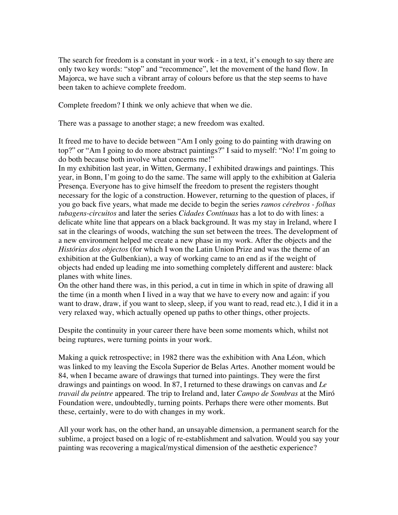The search for freedom is a constant in your work - in a text, it's enough to say there are only two key words: "stop" and "recommence", let the movement of the hand flow. In Majorca, we have such a vibrant array of colours before us that the step seems to have been taken to achieve complete freedom.

Complete freedom? I think we only achieve that when we die.

There was a passage to another stage; a new freedom was exalted.

It freed me to have to decide between "Am I only going to do painting with drawing on top?" or "Am I going to do more abstract paintings?" I said to myself: "No! I'm going to do both because both involve what concerns me!"

In my exhibition last year, in Witten, Germany, I exhibited drawings and paintings. This year, in Bonn, I'm going to do the same. The same will apply to the exhibition at Galeria Presença. Everyone has to give himself the freedom to present the registers thought necessary for the logic of a construction. However, returning to the question of places, if you go back five years, what made me decide to begin the series *ramos cérebros - folhas tubagens-circuitos* and later the series *Cidades Contínuas* has a lot to do with lines: a delicate white line that appears on a black background. It was my stay in Ireland, where I sat in the clearings of woods, watching the sun set between the trees. The development of a new environment helped me create a new phase in my work. After the objects and the *Histórias dos objectos* (for which I won the Latin Union Prize and was the theme of an exhibition at the Gulbenkian), a way of working came to an end as if the weight of objects had ended up leading me into something completely different and austere: black planes with white lines.

On the other hand there was, in this period, a cut in time in which in spite of drawing all the time (in a month when I lived in a way that we have to every now and again: if you want to draw, draw, if you want to sleep, sleep, if you want to read, read etc.), I did it in a very relaxed way, which actually opened up paths to other things, other projects.

Despite the continuity in your career there have been some moments which, whilst not being ruptures, were turning points in your work.

Making a quick retrospective; in 1982 there was the exhibition with Ana Léon, which was linked to my leaving the Escola Superior de Belas Artes. Another moment would be 84, when I became aware of drawings that turned into paintings. They were the first drawings and paintings on wood. In 87, I returned to these drawings on canvas and *Le travail du peintre* appeared. The trip to Ireland and, later *Campo de Sombras* at the Miró Foundation were, undoubtedly, turning points. Perhaps there were other moments. But these, certainly, were to do with changes in my work.

All your work has, on the other hand, an unsayable dimension, a permanent search for the sublime, a project based on a logic of re-establishment and salvation. Would you say your painting was recovering a magical/mystical dimension of the aesthetic experience?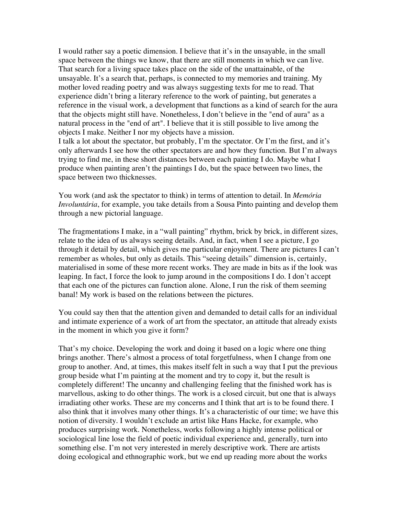I would rather say a poetic dimension. I believe that it's in the unsayable, in the small space between the things we know, that there are still moments in which we can live. That search for a living space takes place on the side of the unattainable, of the unsayable. It's a search that, perhaps, is connected to my memories and training. My mother loved reading poetry and was always suggesting texts for me to read. That experience didn't bring a literary reference to the work of painting, but generates a reference in the visual work, a development that functions as a kind of search for the aura that the objects might still have. Nonetheless, I don't believe in the "end of aura" as a natural process in the "end of art". I believe that it is still possible to live among the objects I make. Neither I nor my objects have a mission.

I talk a lot about the spectator, but probably, I'm the spectator. Or I'm the first, and it's only afterwards I see how the other spectators are and how they function. But I'm always trying to find me, in these short distances between each painting I do. Maybe what I produce when painting aren't the paintings I do, but the space between two lines, the space between two thicknesses.

You work (and ask the spectator to think) in terms of attention to detail. In *Memória Involuntária*, for example, you take details from a Sousa Pinto painting and develop them through a new pictorial language.

The fragmentations I make, in a "wall painting" rhythm, brick by brick, in different sizes, relate to the idea of us always seeing details. And, in fact, when I see a picture, I go through it detail by detail, which gives me particular enjoyment. There are pictures I can't remember as wholes, but only as details. This "seeing details" dimension is, certainly, materialised in some of these more recent works. They are made in bits as if the look was leaping. In fact, I force the look to jump around in the compositions I do. I don't accept that each one of the pictures can function alone. Alone, I run the risk of them seeming banal! My work is based on the relations between the pictures.

You could say then that the attention given and demanded to detail calls for an individual and intimate experience of a work of art from the spectator, an attitude that already exists in the moment in which you give it form?

That's my choice. Developing the work and doing it based on a logic where one thing brings another. There's almost a process of total forgetfulness, when I change from one group to another. And, at times, this makes itself felt in such a way that I put the previous group beside what I'm painting at the moment and try to copy it, but the result is completely different! The uncanny and challenging feeling that the finished work has is marvellous, asking to do other things. The work is a closed circuit, but one that is always irradiating other works. These are my concerns and I think that art is to be found there. I also think that it involves many other things. It's a characteristic of our time; we have this notion of diversity. I wouldn't exclude an artist like Hans Hacke, for example, who produces surprising work. Nonetheless, works following a highly intense political or sociological line lose the field of poetic individual experience and, generally, turn into something else. I'm not very interested in merely descriptive work. There are artists doing ecological and ethnographic work, but we end up reading more about the works